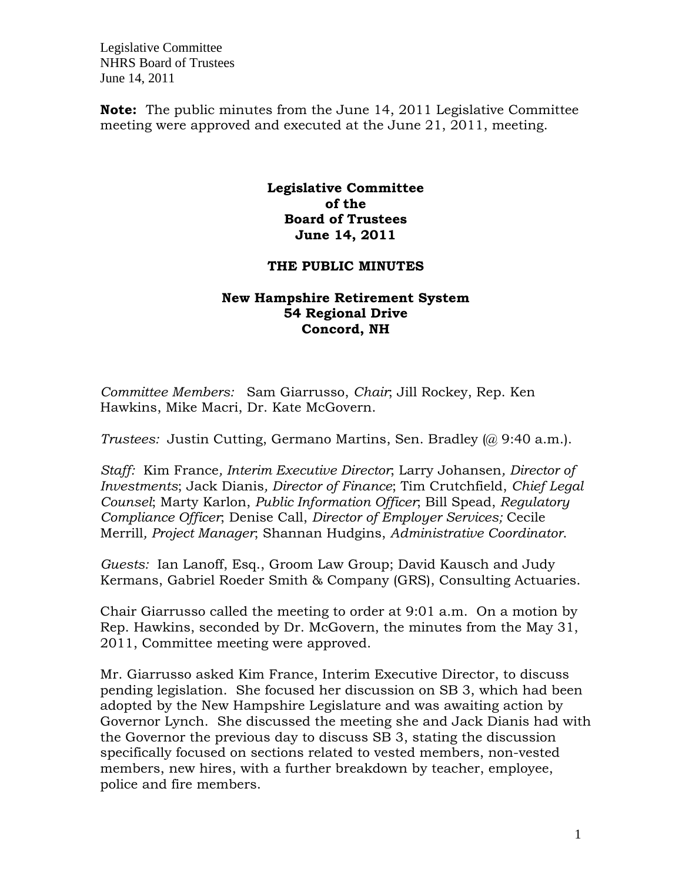**Note:** The public minutes from the June 14, 2011 Legislative Committee meeting were approved and executed at the June 21, 2011, meeting.

## **Legislative Committee of the Board of Trustees June 14, 2011**

## **THE PUBLIC MINUTES**

## **New Hampshire Retirement System 54 Regional Drive Concord, NH**

*Committee Members:* Sam Giarrusso, *Chair*; Jill Rockey, Rep. Ken Hawkins, Mike Macri, Dr. Kate McGovern.

*Trustees:* Justin Cutting, Germano Martins, Sen. Bradley (@ 9:40 a.m.).

*Staff:* Kim France*, Interim Executive Director*; Larry Johansen*, Director of Investments*; Jack Dianis*, Director of Finance*; Tim Crutchfield, *Chief Legal Counsel*; Marty Karlon, *Public Information Officer*; Bill Spead, *Regulatory Compliance Officer*; Denise Call, *Director of Employer Services;* Cecile Merrill*, Project Manager*; Shannan Hudgins, *Administrative Coordinator*.

*Guests:* Ian Lanoff, Esq., Groom Law Group; David Kausch and Judy Kermans, Gabriel Roeder Smith & Company (GRS), Consulting Actuaries.

Chair Giarrusso called the meeting to order at 9:01 a.m. On a motion by Rep. Hawkins, seconded by Dr. McGovern, the minutes from the May 31, 2011, Committee meeting were approved.

Mr. Giarrusso asked Kim France, Interim Executive Director, to discuss pending legislation. She focused her discussion on SB 3, which had been adopted by the New Hampshire Legislature and was awaiting action by Governor Lynch. She discussed the meeting she and Jack Dianis had with the Governor the previous day to discuss SB 3, stating the discussion specifically focused on sections related to vested members, non-vested members, new hires, with a further breakdown by teacher, employee, police and fire members.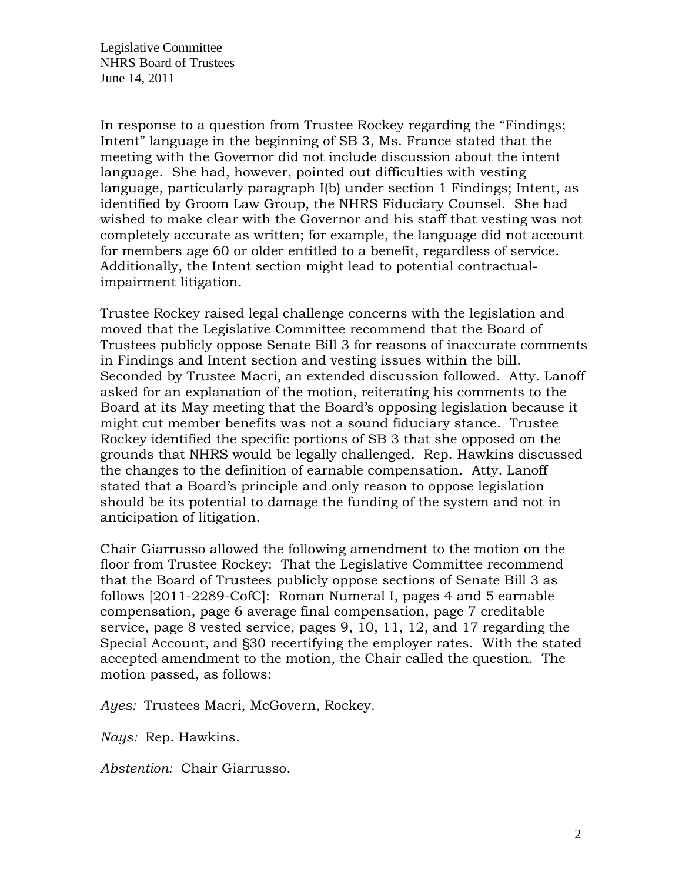In response to a question from Trustee Rockey regarding the "Findings; Intent" language in the beginning of SB 3, Ms. France stated that the meeting with the Governor did not include discussion about the intent language. She had, however, pointed out difficulties with vesting language, particularly paragraph I(b) under section 1 Findings; Intent, as identified by Groom Law Group, the NHRS Fiduciary Counsel. She had wished to make clear with the Governor and his staff that vesting was not completely accurate as written; for example, the language did not account for members age 60 or older entitled to a benefit, regardless of service. Additionally, the Intent section might lead to potential contractualimpairment litigation.

Trustee Rockey raised legal challenge concerns with the legislation and moved that the Legislative Committee recommend that the Board of Trustees publicly oppose Senate Bill 3 for reasons of inaccurate comments in Findings and Intent section and vesting issues within the bill. Seconded by Trustee Macri, an extended discussion followed. Atty. Lanoff asked for an explanation of the motion, reiterating his comments to the Board at its May meeting that the Board's opposing legislation because it might cut member benefits was not a sound fiduciary stance. Trustee Rockey identified the specific portions of SB 3 that she opposed on the grounds that NHRS would be legally challenged. Rep. Hawkins discussed the changes to the definition of earnable compensation. Atty. Lanoff stated that a Board's principle and only reason to oppose legislation should be its potential to damage the funding of the system and not in anticipation of litigation.

Chair Giarrusso allowed the following amendment to the motion on the floor from Trustee Rockey: That the Legislative Committee recommend that the Board of Trustees publicly oppose sections of Senate Bill 3 as follows [2011-2289-CofC]: Roman Numeral I, pages 4 and 5 earnable compensation, page 6 average final compensation, page 7 creditable service, page 8 vested service, pages 9, 10, 11, 12, and 17 regarding the Special Account, and §30 recertifying the employer rates. With the stated accepted amendment to the motion, the Chair called the question. The motion passed, as follows:

*Ayes:* Trustees Macri, McGovern, Rockey.

*Nays:* Rep. Hawkins.

*Abstention:* Chair Giarrusso.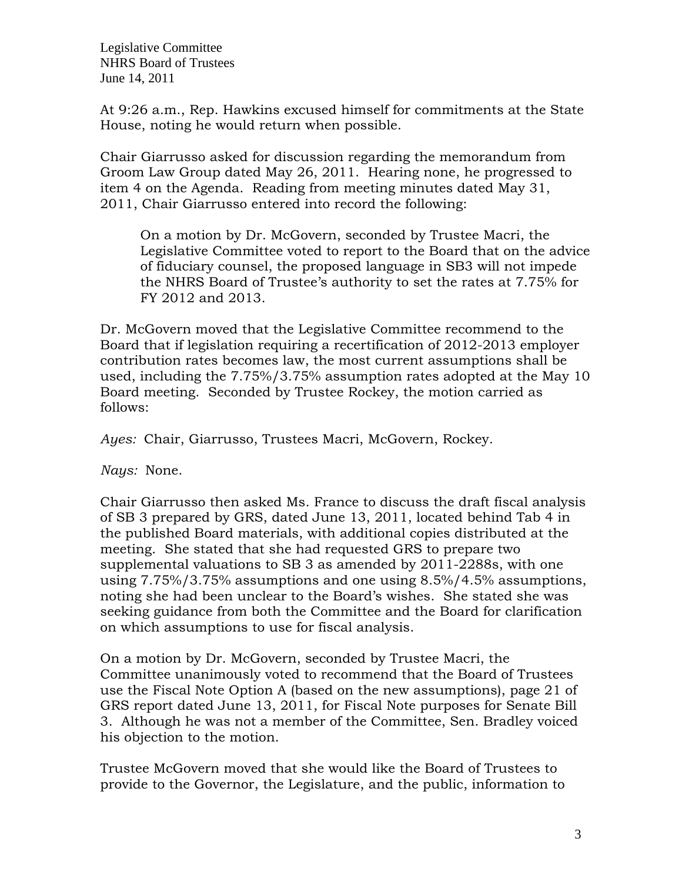At 9:26 a.m., Rep. Hawkins excused himself for commitments at the State House, noting he would return when possible.

Chair Giarrusso asked for discussion regarding the memorandum from Groom Law Group dated May 26, 2011. Hearing none, he progressed to item 4 on the Agenda. Reading from meeting minutes dated May 31, 2011, Chair Giarrusso entered into record the following:

On a motion by Dr. McGovern, seconded by Trustee Macri, the Legislative Committee voted to report to the Board that on the advice of fiduciary counsel, the proposed language in SB3 will not impede the NHRS Board of Trustee's authority to set the rates at 7.75% for FY 2012 and 2013.

Dr. McGovern moved that the Legislative Committee recommend to the Board that if legislation requiring a recertification of 2012-2013 employer contribution rates becomes law, the most current assumptions shall be used, including the 7.75%/3.75% assumption rates adopted at the May 10 Board meeting. Seconded by Trustee Rockey, the motion carried as follows:

*Ayes:* Chair, Giarrusso, Trustees Macri, McGovern, Rockey.

*Nays:* None.

Chair Giarrusso then asked Ms. France to discuss the draft fiscal analysis of SB 3 prepared by GRS, dated June 13, 2011, located behind Tab 4 in the published Board materials, with additional copies distributed at the meeting. She stated that she had requested GRS to prepare two supplemental valuations to SB 3 as amended by 2011-2288s, with one using 7.75%/3.75% assumptions and one using 8.5%/4.5% assumptions, noting she had been unclear to the Board's wishes. She stated she was seeking guidance from both the Committee and the Board for clarification on which assumptions to use for fiscal analysis.

On a motion by Dr. McGovern, seconded by Trustee Macri, the Committee unanimously voted to recommend that the Board of Trustees use the Fiscal Note Option A (based on the new assumptions), page 21 of GRS report dated June 13, 2011, for Fiscal Note purposes for Senate Bill 3. Although he was not a member of the Committee, Sen. Bradley voiced his objection to the motion.

Trustee McGovern moved that she would like the Board of Trustees to provide to the Governor, the Legislature, and the public, information to